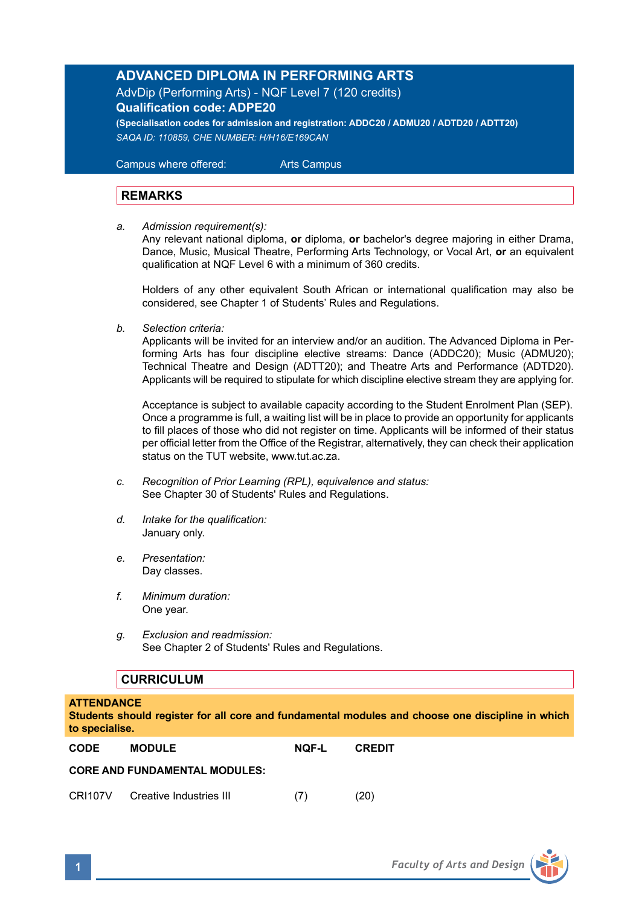# **ADVANCED DIPLOMA IN PERFORMING ARTS**

AdvDip (Performing Arts) - NQF Level 7 (120 credits) **Qualification code: ADPE20** 

**(Specialisation codes for admission and registration: ADDC20 / ADMU20 / ADTD20 / ADTT20)** *SAQA ID: 110859, CHE NUMBER: H/H16/E169CAN* 

 Campus where offered: Arts Campus

# **REMARKS**

*a. Admission requirement(s):* 

Any relevant national diploma, **or** diploma, **or** bachelor's degree majoring in either Drama, Dance, Music, Musical Theatre, Performing Arts Technology, or Vocal Art, **or** an equivalent qualification at NQF Level 6 with a minimum of 360 credits.

Holders of any other equivalent South African or international qualification may also be considered, see Chapter 1 of Students' Rules and Regulations.

*b. Selection criteria:*

Applicants will be invited for an interview and/or an audition. The Advanced Diploma in Per forming Arts has four discipline elective streams: Dance (ADDC20); Music (ADMU20); Technical Theatre and Design (ADTT20); and Theatre Arts and Performance (ADTD20). Applicants will be required to stipulate for which discipline elective stream they are applying for.

 Acceptance is subject to available capacity according to the Student Enrolment Plan (SEP). Once a programme is full, a waiting list will be in place to provide an opportunity for applicants to fill places of those who did not register on time. Applicants will be informed of their status per official letter from the Office of the Registrar, alternatively, they can check their application status on the TUT website, www.tut.ac.za.

- *c. Recognition of Prior Learning (RPL), equivalence and status:* See Chapter 30 of Students' Rules and Regulations.
- *d. Intake for the qualification:* January only.
- *e. Presentation:* Day classes.
- *f. Minimum duration:* One year.
- *g. Exclusion and readmission:* See Chapter 2 of Students' Rules and Regulations.

# **CURRICULUM**

# **ATTENDANCE**

**Students should register for all core and fundamental modules and choose one discipline in which to specialise.**

| <b>CODE</b>                          | <b>MODULE</b>           | NOF-L | <b>CREDIT</b> |  |  |  |
|--------------------------------------|-------------------------|-------|---------------|--|--|--|
| <b>CORE AND FUNDAMENTAL MODULES:</b> |                         |       |               |  |  |  |
| CRI107V                              | Creative Industries III | (7)   | (20)          |  |  |  |

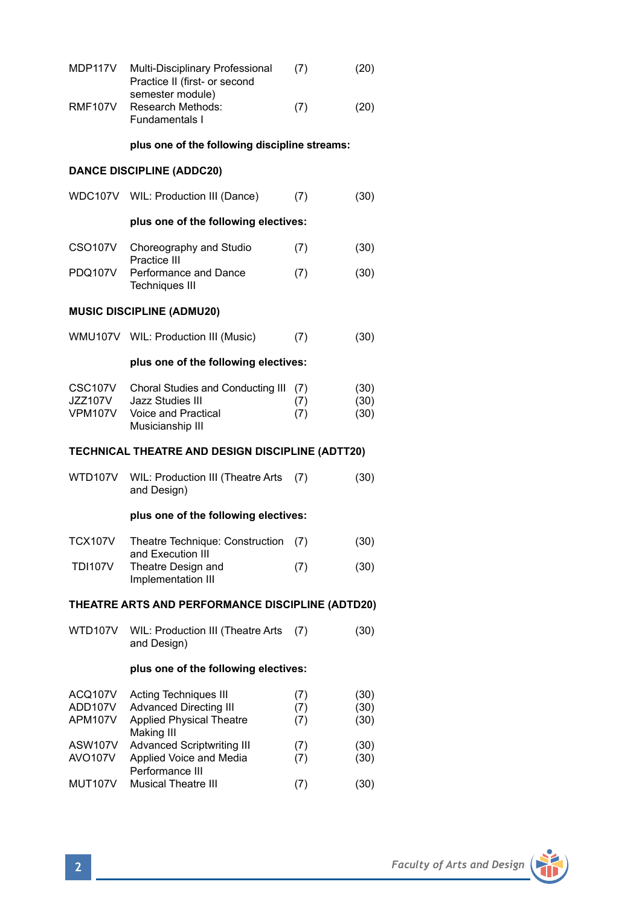| MDP117V                                     | Multi-Disciplinary Professional<br>Practice II (first- or second                                        | (7)               | (20)                 |
|---------------------------------------------|---------------------------------------------------------------------------------------------------------|-------------------|----------------------|
| <b>RMF107V</b>                              | semester module)<br>Research Methods:<br>Fundamentals I                                                 | (7)               | (20)                 |
|                                             | plus one of the following discipline streams:                                                           |                   |                      |
|                                             | <b>DANCE DISCIPLINE (ADDC20)</b>                                                                        |                   |                      |
|                                             | WDC107V WIL: Production III (Dance)                                                                     | (7)               | (30)                 |
|                                             | plus one of the following electives:                                                                    |                   |                      |
| <b>CSO107V</b>                              | Choreography and Studio                                                                                 | (7)               | (30)                 |
| <b>PDQ107V</b>                              | Practice III<br>Performance and Dance<br><b>Techniques III</b>                                          | (7)               | (30)                 |
|                                             | <b>MUSIC DISCIPLINE (ADMU20)</b>                                                                        |                   |                      |
|                                             | WMU107V WIL: Production III (Music)                                                                     | (7)               | (30)                 |
|                                             | plus one of the following electives:                                                                    |                   |                      |
| CSC107V<br><b>JZZ107V</b><br><b>VPM107V</b> | Choral Studies and Conducting III<br><b>Jazz Studies III</b><br>Voice and Practical<br>Musicianship III | (7)<br>(7)<br>(7) | (30)<br>(30)<br>(30) |
|                                             | TECHNICAL THEATRE AND DESIGN DISCIPLINE (ADTT20)                                                        |                   |                      |
| <b>WTD107V</b>                              | WIL: Production III (Theatre Arts<br>and Design)                                                        | (7)               | (30)                 |
|                                             | plus one of the following electives:                                                                    |                   |                      |
| <b>TCX107V</b>                              | Theatre Technique: Construction<br>and Execution III                                                    | (7)               | (30)                 |
| <b>TDI107V</b>                              | Theatre Design and<br>Implementation III                                                                | (7)               | (30)                 |
|                                             | THEATRE ARTS AND PERFORMANCE DISCIPLINE (ADTD20)                                                        |                   |                      |
| <b>WTD107V</b>                              | WIL: Production III (Theatre Arts<br>and Design)                                                        | (7)               | (30)                 |
|                                             | plus one of the following electives:                                                                    |                   |                      |
| ACQ107V                                     | <b>Acting Techniques III</b>                                                                            | (7)               | (30)                 |
| ADD107V<br>APM107V                          | <b>Advanced Directing III</b><br><b>Applied Physical Theatre</b>                                        | (7)<br>(7)        | (30)<br>(30)         |
| ASW107V<br>AVO107V                          | Making III<br><b>Advanced Scriptwriting III</b><br>Applied Voice and Media<br>Performance III           | (7)<br>(7)        | (30)<br>(30)         |
| <b>MUT107V</b>                              | Musical Theatre III                                                                                     | (7)               | (30)                 |

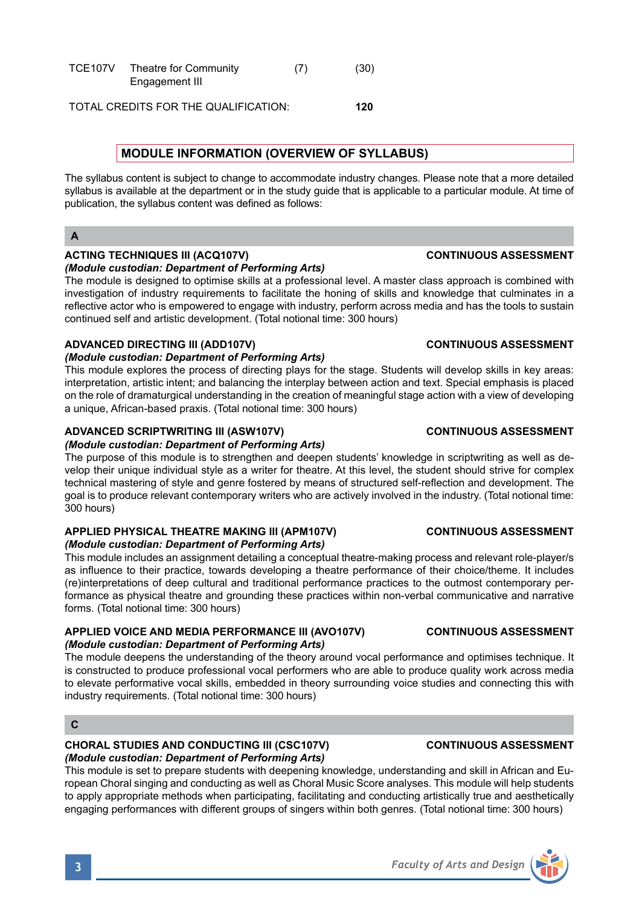| <b>TCE107V</b> | Theatre for Community | (7) | (30) |
|----------------|-----------------------|-----|------|
|                | Engagement III        |     |      |

TOTAL CREDITS FOR THE QUALIFICATION: **120**

# **MODULE INFORMATION (OVERVIEW OF SYLLABUS)**

The syllabus content is subject to change to accommodate industry changes. Please note that a more detailed syllabus is available at the department or in the study guide that is applicable to a particular module. At time of publication, the syllabus content was defined as follows:

# **A**

# **ACTING TECHNIQUES III (ACQ107V) CONTINUOUS ASSESSMENT**

# *(Module custodian: Department of Performing Arts)*

The module is designed to optimise skills at a professional level. A master class approach is combined with investigation of industry requirements to facilitate the honing of skills and knowledge that culminates in a reflective actor who is empowered to engage with industry, perform across media and has the tools to sustain continued self and artistic development. (Total notional time: 300 hours)

# **ADVANCED DIRECTING III (ADD107V) CONTINUOUS ASSESSMENT**

## *(Module custodian: Department of Performing Arts)*

This module explores the process of directing plays for the stage. Students will develop skills in key areas: interpretation, artistic intent; and balancing the interplay between action and text. Special emphasis is placed on the role of dramaturgical understanding in the creation of meaningful stage action with a view of developing a unique, African-based praxis. (Total notional time: 300 hours)

# **ADVANCED SCRIPTWRITING III (ASW107V) CONTINUOUS ASSESSMENT**

# *(Module custodian: Department of Performing Arts)*

The purpose of this module is to strengthen and deepen students' knowledge in scriptwriting as well as develop their unique individual style as a writer for theatre. At this level, the student should strive for complex technical mastering of style and genre fostered by means of structured self-reflection and development. The goal is to produce relevant contemporary writers who are actively involved in the industry. (Total notional time: 300 hours)

# **APPLIED PHYSICAL THEATRE MAKING III (APM107V) CONTINUOUS ASSESSMENT** *(Module custodian: Department of Performing Arts)*

This module includes an assignment detailing a conceptual theatre-making process and relevant role-player/s as influence to their practice, towards developing a theatre performance of their choice/theme. It includes (re)interpretations of deep cultural and traditional performance practices to the outmost contemporary performance as physical theatre and grounding these practices within non-verbal communicative and narrative forms. (Total notional time: 300 hours)

# **APPLIED VOICE AND MEDIA PERFORMANCE III (AVO107V) CONTINUOUS ASSESSMENT** *(Module custodian: Department of Performing Arts)*

The module deepens the understanding of the theory around vocal performance and optimises technique. It is constructed to produce professional vocal performers who are able to produce quality work across media to elevate performative vocal skills, embedded in theory surrounding voice studies and connecting this with industry requirements. (Total notional time: 300 hours)

# **C**

# **CHORAL STUDIES AND CONDUCTING III (CSC107V) CONTINUOUS ASSESSMENT** *(Module custodian: Department of Performing Arts)*

This module is set to prepare students with deepening knowledge, understanding and skill in African and European Choral singing and conducting as well as Choral Music Score analyses. This module will help students to apply appropriate methods when participating, facilitating and conducting artistically true and aesthetically engaging performances with different groups of singers within both genres. (Total notional time: 300 hours)



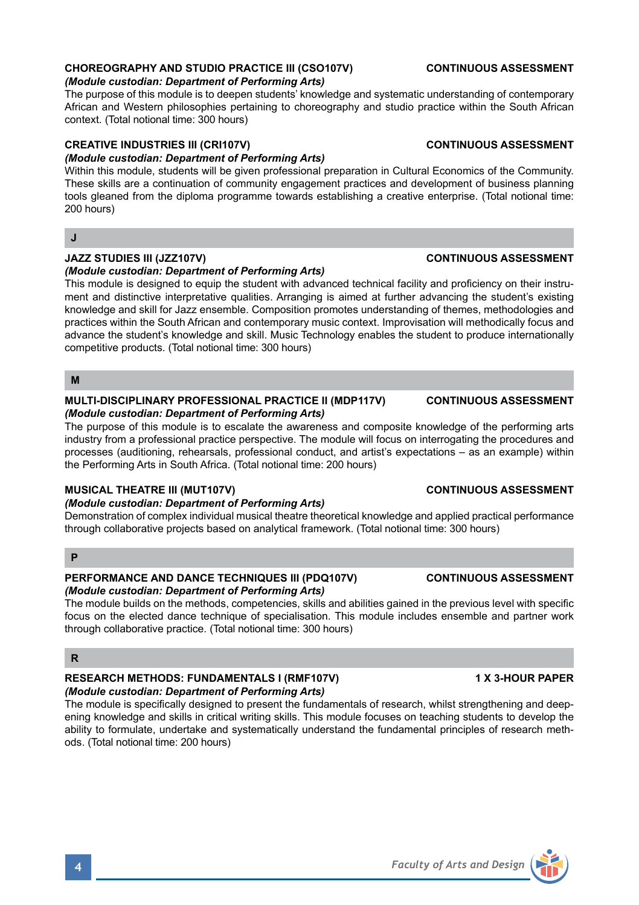# **CHOREOGRAPHY AND STUDIO PRACTICE III (CSO107V) CONTINUOUS ASSESSMENT**

### *(Module custodian: Department of Performing Arts)*

The purpose of this module is to deepen students' knowledge and systematic understanding of contemporary African and Western philosophies pertaining to choreography and studio practice within the South African context. (Total notional time: 300 hours)

## **CREATIVE INDUSTRIES III (CRI107V) CONTINUOUS ASSESSMENT**

## *(Module custodian: Department of Performing Arts)*

Within this module, students will be given professional preparation in Cultural Economics of the Community. These skills are a continuation of community engagement practices and development of business planning tools gleaned from the diploma programme towards establishing a creative enterprise. (Total notional time: 200 hours)

### **J**

### **JAZZ STUDIES III (JZZ107V) CONTINUOUS ASSESSMENT**

### *(Module custodian: Department of Performing Arts)*

This module is designed to equip the student with advanced technical facility and proficiency on their instrument and distinctive interpretative qualities. Arranging is aimed at further advancing the student's existing knowledge and skill for Jazz ensemble. Composition promotes understanding of themes, methodologies and practices within the South African and contemporary music context. Improvisation will methodically focus and advance the student's knowledge and skill. Music Technology enables the student to produce internationally competitive products. (Total notional time: 300 hours)

# **M**

### **MULTI-DISCIPLINARY PROFESSIONAL PRACTICE II (MDP117V) CONTINUOUS ASSESSMENT** *(Module custodian: Department of Performing Arts)*

The purpose of this module is to escalate the awareness and composite knowledge of the performing arts industry from a professional practice perspective. The module will focus on interrogating the procedures and processes (auditioning, rehearsals, professional conduct, and artist's expectations – as an example) within the Performing Arts in South Africa. (Total notional time: 200 hours)

# **MUSICAL THEATRE III (MUT107V) CONTINUOUS ASSESSMENT**

### *(Module custodian: Department of Performing Arts)*

Demonstration of complex individual musical theatre theoretical knowledge and applied practical performance through collaborative projects based on analytical framework. (Total notional time: 300 hours)

# **P**

### **PERFORMANCE AND DANCE TECHNIQUES III (PDQ107V) CONTINUOUS ASSESSMENT** *(Module custodian: Department of Performing Arts)*

The module builds on the methods, competencies, skills and abilities gained in the previous level with specific focus on the elected dance technique of specialisation. This module includes ensemble and partner work through collaborative practice. (Total notional time: 300 hours)

## **R**

# RESEARCH METHODS: FUNDAMENTALS I (RMF107V) **1 ACCULDAGEMENTALS** 1 X 3-HOUR PAPER *(Module custodian: Department of Performing Arts)*

The module is specifically designed to present the fundamentals of research, whilst strengthening and deepening knowledge and skills in critical writing skills. This module focuses on teaching students to develop the ability to formulate, undertake and systematically understand the fundamental principles of research methods. (Total notional time: 200 hours)